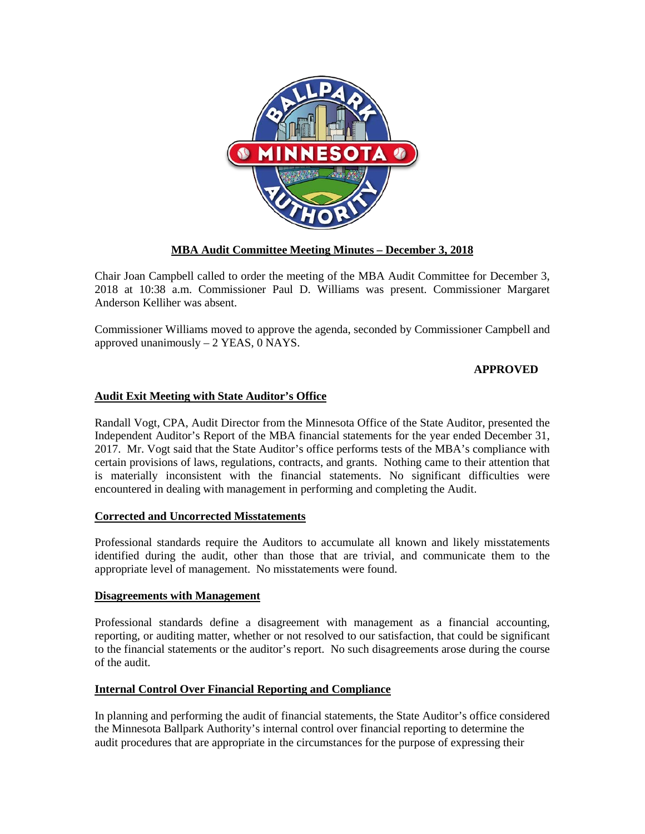

# **MBA Audit Committee Meeting Minutes – December 3, 2018**

Chair Joan Campbell called to order the meeting of the MBA Audit Committee for December 3, 2018 at 10:38 a.m. Commissioner Paul D. Williams was present. Commissioner Margaret Anderson Kelliher was absent.

Commissioner Williams moved to approve the agenda, seconded by Commissioner Campbell and approved unanimously – 2 YEAS, 0 NAYS.

## **APPROVED**

# **Audit Exit Meeting with State Auditor's Office**

Randall Vogt, CPA, Audit Director from the Minnesota Office of the State Auditor, presented the Independent Auditor's Report of the MBA financial statements for the year ended December 31, 2017. Mr. Vogt said that the State Auditor's office performs tests of the MBA's compliance with certain provisions of laws, regulations, contracts, and grants. Nothing came to their attention that is materially inconsistent with the financial statements. No significant difficulties were encountered in dealing with management in performing and completing the Audit.

### **Corrected and Uncorrected Misstatements**

Professional standards require the Auditors to accumulate all known and likely misstatements identified during the audit, other than those that are trivial, and communicate them to the appropriate level of management. No misstatements were found.

### **Disagreements with Management**

Professional standards define a disagreement with management as a financial accounting, reporting, or auditing matter, whether or not resolved to our satisfaction, that could be significant to the financial statements or the auditor's report. No such disagreements arose during the course of the audit.

### **Internal Control Over Financial Reporting and Compliance**

In planning and performing the audit of financial statements, the State Auditor's office considered the Minnesota Ballpark Authority's internal control over financial reporting to determine the audit procedures that are appropriate in the circumstances for the purpose of expressing their